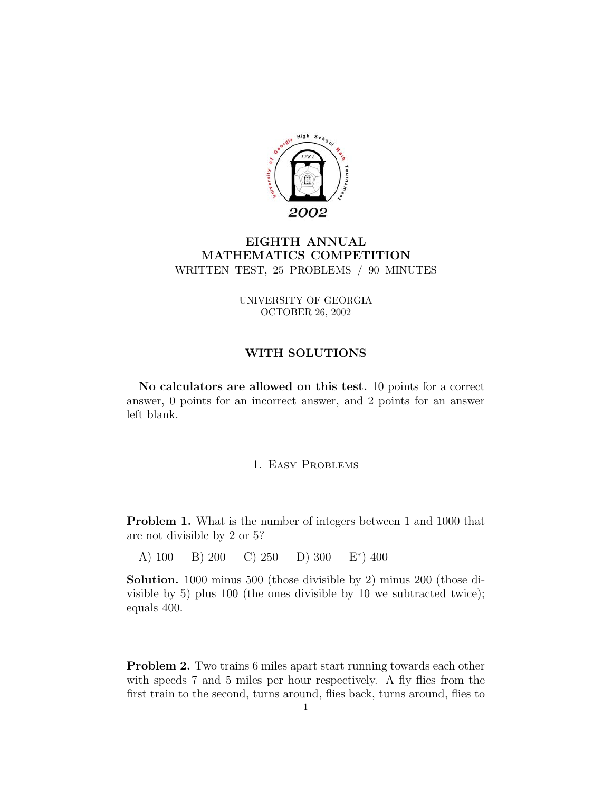

# **EIGHTH ANNUAL MATHEMATICS COMPETITION** WRITTEN TEST, 25 PROBLEMS / 90 MINUTES

UNIVERSITY OF GEORGIA OCTOBER 26, 2002

## **WITH SOLUTIONS**

**No calculators are allowed on this test.** 10 points for a correct answer, 0 points for an incorrect answer, and 2 points for an answer left blank.

### 1. Easy Problems

**Problem 1.** What is the number of integers between 1 and 1000 that are not divisible by 2 or 5?

A) 100 B) 200 C) 250 D) 300 E∗) 400

**Solution.** 1000 minus 500 (those divisible by 2) minus 200 (those divisible by 5) plus 100 (the ones divisible by 10 we subtracted twice); equals 400.

**Problem 2.** Two trains 6 miles apart start running towards each other with speeds 7 and 5 miles per hour respectively. A fly flies from the first train to the second, turns around, flies back, turns around, flies to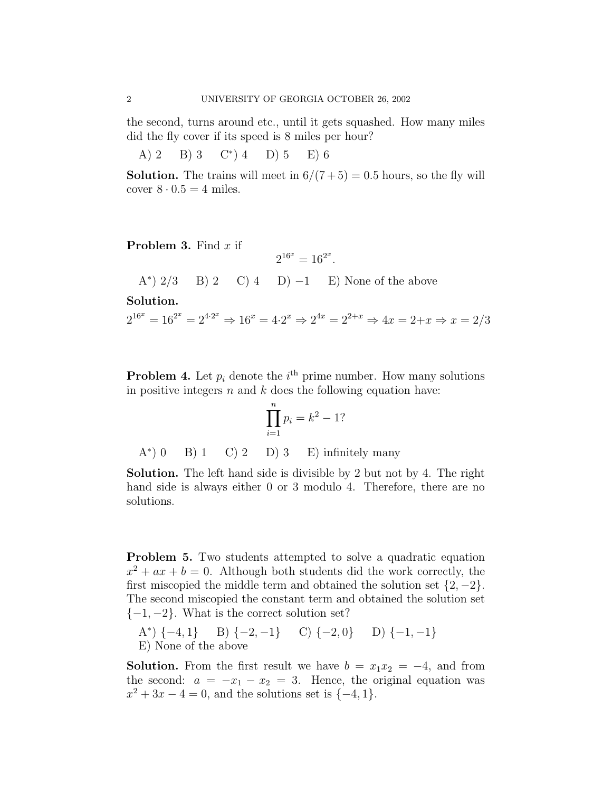the second, turns around etc., until it gets squashed. How many miles did the fly cover if its speed is 8 miles per hour?

A) 2 B) 3 C<sup>\*</sup>) 4 D) 5 E) 6

**Solution.** The trains will meet in  $6/(7+5) = 0.5$  hours, so the fly will cover  $8 \cdot 0.5 = 4$  miles.

**Problem 3.** Find x if

$$
2^{16^x} = 16^{2^x}.
$$

A<sup>\*</sup>)  $2/3$  B) 2 C) 4 D)  $-1$  E) None of the above

**Solution.**

 $2^{16^x} = 16^{2^x} = 2^{4 \cdot 2^x} \Rightarrow 16^x = 4 \cdot 2^x \Rightarrow 2^{4x} = 2^{2+x} \Rightarrow 4x = 2+x \Rightarrow x = 2/3$ 

**Problem 4.** Let  $p_i$  denote the  $i^{\text{th}}$  prime number. How many solutions in positive integers  $n$  and  $k$  does the following equation have:

$$
\prod_{i=1}^{n} p_i = k^2 - 1?
$$

 $A^*$ ) 0 B) 1 C) 2 D) 3 E) infinitely many

**Solution.** The left hand side is divisible by 2 but not by 4. The right hand side is always either 0 or 3 modulo 4. Therefore, there are no solutions.

**Problem 5.** Two students attempted to solve a quadratic equation  $x^2 + ax + b = 0$ . Although both students did the work correctly, the first miscopied the middle term and obtained the solution set  $\{2, -2\}$ . The second miscopied the constant term and obtained the solution set  $\{-1, -2\}$ . What is the correct solution set?

A\*)  $\{-4, 1\}$  B)  $\{-2, -1\}$  C)  $\{-2, 0\}$  D)  $\{-1, -1\}$ E) None of the above

**Solution.** From the first result we have  $b = x_1x_2 = -4$ , and from the second:  $a = -x_1 - x_2 = 3$ . Hence, the original equation was  $x^2 + 3x - 4 = 0$ , and the solutions set is  $\{-4, 1\}.$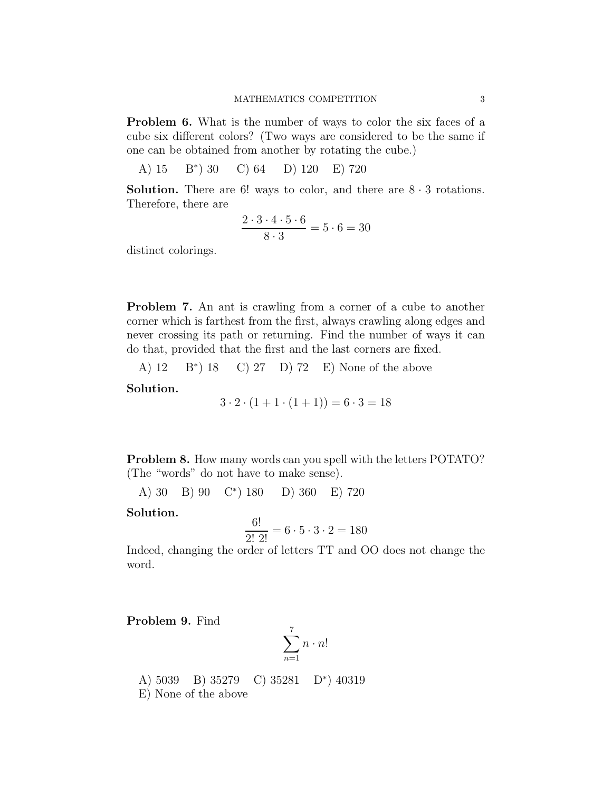**Problem 6.** What is the number of ways to color the six faces of a cube six different colors? (Two ways are considered to be the same if one can be obtained from another by rotating the cube.)

A) 15 B∗) 30 C) 64 D) 120 E) 720

**Solution.** There are 6! ways to color, and there are  $8 \cdot 3$  rotations. Therefore, there are

$$
\frac{2\cdot 3\cdot 4\cdot 5\cdot 6}{8\cdot 3} = 5\cdot 6 = 30
$$

distinct colorings.

**Problem 7.** An ant is crawling from a corner of a cube to another corner which is farthest from the first, always crawling along edges and never crossing its path or returning. Find the number of ways it can do that, provided that the first and the last corners are fixed.

A) 12 B∗) 18 C) 27 D) 72 E) None of the above

**Solution.**

$$
3 \cdot 2 \cdot (1 + 1 \cdot (1 + 1)) = 6 \cdot 3 = 18
$$

**Problem 8.** How many words can you spell with the letters POTATO? (The "words" do not have to make sense).

A) 30 B) 90 C∗) 180 D) 360 E) 720

### **Solution.**

$$
\frac{6!}{2! \ 2!} = 6 \cdot 5 \cdot 3 \cdot 2 = 180
$$

Indeed, changing the order of letters TT and OO does not change the word.

**Problem 9.** Find

$$
\sum_{n=1}^7 n \cdot n!
$$

A) 5039 B) 35279 C) 35281 D∗) 40319 E) None of the above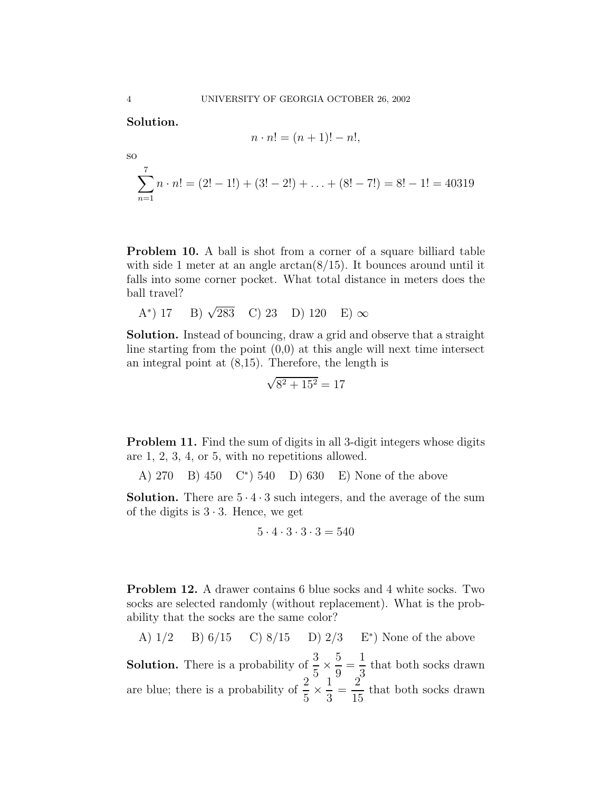**Solution.**

$$
n \cdot n! = (n+1)! - n!,
$$

$$
\sum_{n=1}^{7} n \cdot n! = (2! - 1!) + (3! - 2!) + \ldots + (8! - 7!) = 8! - 1! = 40319
$$

**Problem 10.** A ball is shot from a corner of a square billiard table with side 1 meter at an angle  $arctan(8/15)$ . It bounces around until it falls into some corner pocket. What total distance in meters does the ball travel?

A\*) 17 B) 
$$
\sqrt{283}
$$
 C) 23 D) 120 E)  $\infty$ 

**Solution.** Instead of bouncing, draw a grid and observe that a straight line starting from the point  $(0,0)$  at this angle will next time intersect an integral point at (8,15). Therefore, the length is

$$
\sqrt{8^2 + 15^2} = 17
$$

**Problem 11.** Find the sum of digits in all 3-digit integers whose digits are 1, 2, 3, 4, or 5, with no repetitions allowed.

A) 270 B) 450 C∗) 540 D) 630 E) None of the above

**Solution.** There are  $5 \cdot 4 \cdot 3$  such integers, and the average of the sum of the digits is  $3 \cdot 3$ . Hence, we get

$$
5 \cdot 4 \cdot 3 \cdot 3 \cdot 3 = 540
$$

**Problem 12.** A drawer contains 6 blue socks and 4 white socks. Two socks are selected randomly (without replacement). What is the probability that the socks are the same color?

A) 1/2 B) 6/15 C) 8/15 D) 2/3 E<sup>\*</sup> None of the above  
Solution. There is a probability of 
$$
\frac{3}{5} \times \frac{5}{9} = \frac{1}{3}
$$
 that both socks drawn  
are blue; there is a probability of  $\frac{2}{5} \times \frac{1}{3} = \frac{2}{15}$  that both socks drawn

so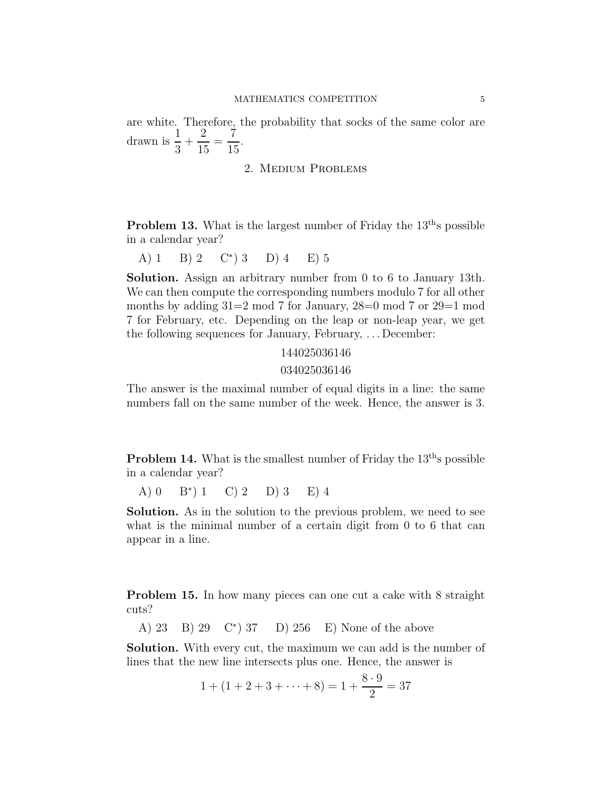are white. Therefore, the probability that socks of the same color are drawn is  $\frac{1}{2}$  $rac{1}{3}$  +  $\frac{2}{15} = \frac{7}{15}.$ 

#### 2. Medium Problems

**Problem 13.** What is the largest number of Friday the 13<sup>th</sup>s possible in a calendar year?

A) 1 B) 2  $\mathbb{C}^*$  3 D) 4 E) 5

**Solution.** Assign an arbitrary number from 0 to 6 to January 13th. We can then compute the corresponding numbers modulo 7 for all other months by adding 31=2 mod 7 for January, 28=0 mod 7 or 29=1 mod 7 for February, etc. Depending on the leap or non-leap year, we get the following sequences for January, February, . . . December:

#### 144025036146

#### 034025036146

The answer is the maximal number of equal digits in a line: the same numbers fall on the same number of the week. Hence, the answer is 3.

**Problem 14.** What is the smallest number of Friday the  $13<sup>th</sup>$ s possible in a calendar year?

A)  $0 \text{ } B^*$ )  $1 \text{ } C$ )  $2 \text{ } D$ )  $3 \text{ } E$ )  $4$ 

**Solution.** As in the solution to the previous problem, we need to see what is the minimal number of a certain digit from 0 to 6 that can appear in a line.

**Problem 15.** In how many pieces can one cut a cake with 8 straight cuts?

A) 23 B) 29 C∗) 37 D) 256 E) None of the above

**Solution.** With every cut, the maximum we can add is the number of lines that the new line intersects plus one. Hence, the answer is

$$
1 + (1 + 2 + 3 + \dots + 8) = 1 + \frac{8 \cdot 9}{2} = 37
$$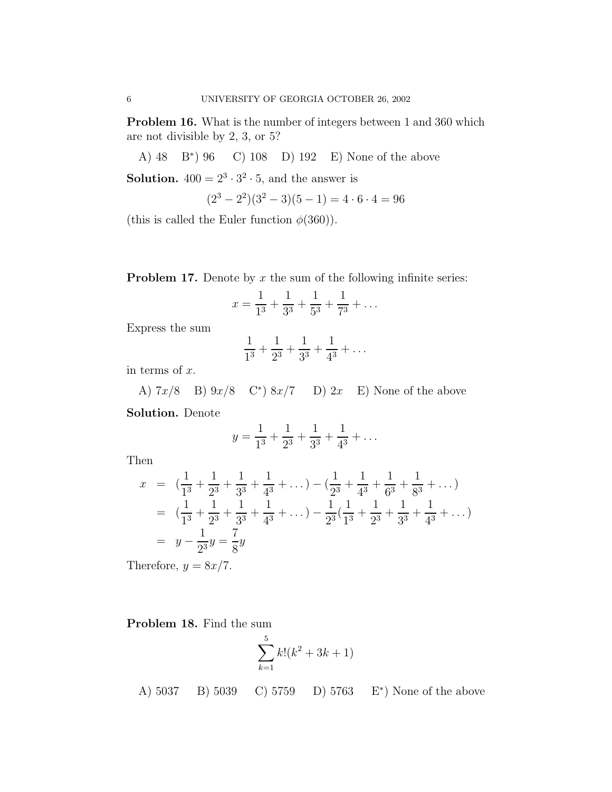**Problem 16.** What is the number of integers between 1 and 360 which are not divisible by 2, 3, or 5?

A) 48 B∗) 96 C) 108 D) 192 E) None of the above

**Solution.**  $400 = 2^3 \cdot 3^2 \cdot 5$ , and the answer is

$$
(23 - 22)(32 - 3)(5 - 1) = 4 \cdot 6 \cdot 4 = 96
$$

(this is called the Euler function  $\phi(360)$ ).

**Problem 17.** Denote by  $x$  the sum of the following infinite series:

$$
x = \frac{1}{1^3} + \frac{1}{3^3} + \frac{1}{5^3} + \frac{1}{7^3} + \dots
$$

Express the sum

$$
\frac{1}{1^3} + \frac{1}{2^3} + \frac{1}{3^3} + \frac{1}{4^3} + \dots
$$

in terms of  $x$ .

A)  $7x/8$  B)  $9x/8$  C<sup>\*</sup>)  $8x/7$  D)  $2x$  E) None of the above

**Solution.** Denote

$$
y = \frac{1}{1^3} + \frac{1}{2^3} + \frac{1}{3^3} + \frac{1}{4^3} + \dots
$$

Then

$$
x = \left(\frac{1}{1^3} + \frac{1}{2^3} + \frac{1}{3^3} + \frac{1}{4^3} + \dots\right) - \left(\frac{1}{2^3} + \frac{1}{4^3} + \frac{1}{6^3} + \frac{1}{8^3} + \dots\right)
$$
  
=  $\left(\frac{1}{1^3} + \frac{1}{2^3} + \frac{1}{3^3} + \frac{1}{4^3} + \dots\right) - \frac{1}{2^3}\left(\frac{1}{1^3} + \frac{1}{2^3} + \frac{1}{3^3} + \frac{1}{4^3} + \dots\right)$   
=  $y - \frac{1}{2^3}y = \frac{7}{8}y$ 

Therefore,  $y = 8x/7$ .

**Problem 18.** Find the sum

$$
\sum_{k=1}^{5} k! (k^2 + 3k + 1)
$$

A) 5037 B) 5039 C) 5759 D) 5763 E∗) None of the above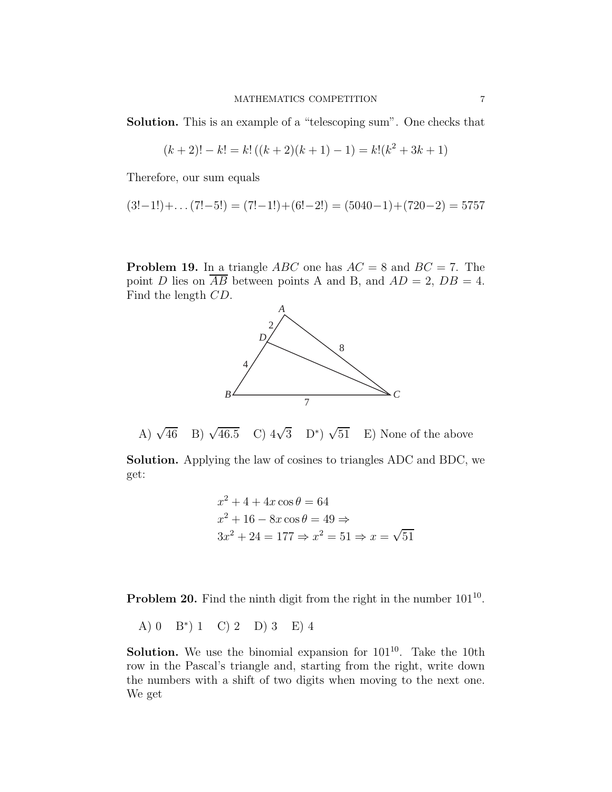**Solution.** This is an example of a "telescoping sum". One checks that

$$
(k+2)! - k! = k! ((k+2)(k+1) - 1) = k! (k2 + 3k + 1)
$$

Therefore, our sum equals

$$
(3!-1!)+\dots(7!-5!) = (7!-1!)+(6!-2!) = (5040-1)+(720-2) = 5757
$$

**Problem 19.** In a triangle  $ABC$  one has  $AC = 8$  and  $BC = 7$ . The point D lies on  $\overline{AB}$  between points A and B, and  $AD = 2$ ,  $DB = 4$ . Find the length CD.



A)  $\sqrt{46}$  B)  $\sqrt{46.5}$ C)  $4\sqrt{3}$  D<sup>\*</sup>)  $\sqrt{51}$  E) None of the above

**Solution.** Applying the law of cosines to triangles ADC and BDC, we get:

$$
x2 + 4 + 4x \cos \theta = 64
$$
  

$$
x2 + 16 - 8x \cos \theta = 49 \Rightarrow
$$
  

$$
3x2 + 24 = 177 \Rightarrow x2 = 51 \Rightarrow x = \sqrt{51}
$$

**Problem 20.** Find the ninth digit from the right in the number  $101^{10}$ .

A) 0 B∗) 1 C) 2 D) 3 E) 4

**Solution.** We use the binomial expansion for  $101^{10}$ . Take the 10th row in the Pascal's triangle and, starting from the right, write down the numbers with a shift of two digits when moving to the next one. We get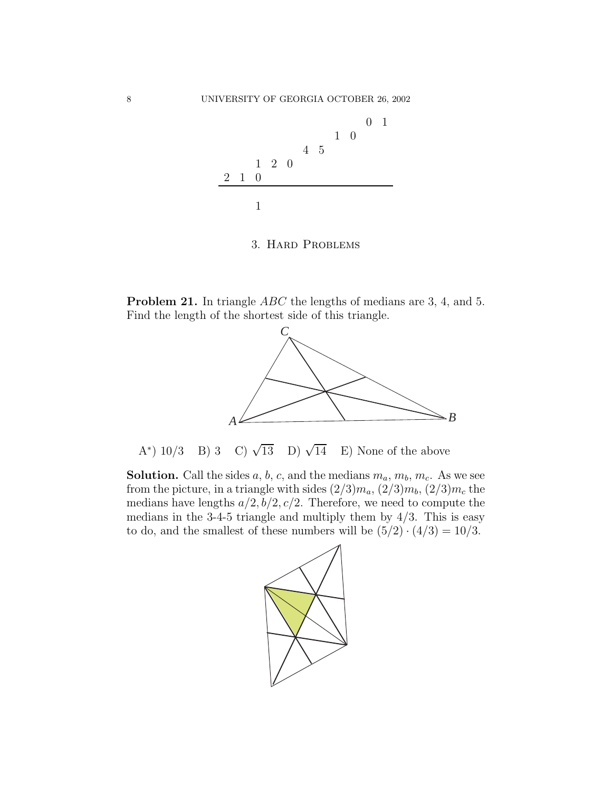

3. Hard Problems

**Problem 21.** In triangle *ABC* the lengths of medians are 3, 4, and 5. Find the length of the shortest side of this triangle.



A\*) 10/3 B) 3 C)  $\sqrt{13}$  D)  $\sqrt{14}$ E) None of the above

**Solution.** Call the sides  $a, b, c$ , and the medians  $m_a, m_b, m_c$ . As we see from the picture, in a triangle with sides  $(2/3)m_a$ ,  $(2/3)m_b$ ,  $(2/3)m_c$  the medians have lengths  $a/2$ ,  $b/2$ ,  $c/2$ . Therefore, we need to compute the medians in the  $3-4-5$  triangle and multiply them by  $4/3$ . This is easy to do, and the smallest of these numbers will be  $(5/2) \cdot (4/3) = 10/3$ .

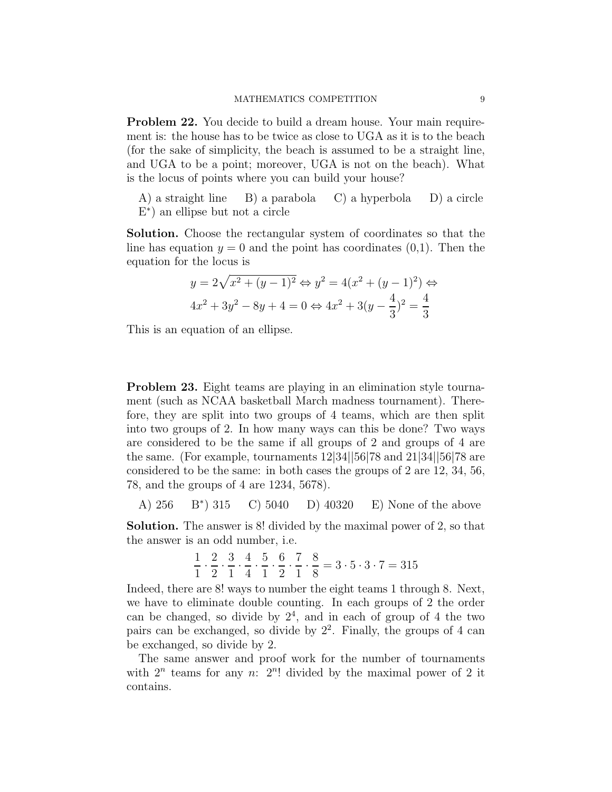**Problem 22.** You decide to build a dream house. Your main requirement is: the house has to be twice as close to UGA as it is to the beach (for the sake of simplicity, the beach is assumed to be a straight line, and UGA to be a point; moreover, UGA is not on the beach). What is the locus of points where you can build your house?

A) a straight line B) a parabola C) a hyperbola D) a circle E∗) an ellipse but not a circle

**Solution.** Choose the rectangular system of coordinates so that the line has equation  $y = 0$  and the point has coordinates  $(0,1)$ . Then the equation for the locus is

$$
y = 2\sqrt{x^2 + (y - 1)^2} \Leftrightarrow y^2 = 4(x^2 + (y - 1)^2) \Leftrightarrow
$$
  

$$
4x^2 + 3y^2 - 8y + 4 = 0 \Leftrightarrow 4x^2 + 3(y - \frac{4}{3})^2 = \frac{4}{3}
$$

This is an equation of an ellipse.

**Problem 23.** Eight teams are playing in an elimination style tournament (such as NCAA basketball March madness tournament). Therefore, they are split into two groups of 4 teams, which are then split into two groups of 2. In how many ways can this be done? Two ways are considered to be the same if all groups of 2 and groups of 4 are the same. (For example, tournaments 12|34||56|78 and 21|34||56|78 are considered to be the same: in both cases the groups of 2 are 12, 34, 56, 78, and the groups of 4 are 1234, 5678).

A) 256 
$$
B^*
$$
 315 C) 5040 D) 40320 E) None of the above

**Solution.** The answer is 8! divided by the maximal power of 2, so that the answer is an odd number, i.e.

$$
\frac{1}{1} \cdot \frac{2}{2} \cdot \frac{3}{1} \cdot \frac{4}{4} \cdot \frac{5}{1} \cdot \frac{6}{2} \cdot \frac{7}{1} \cdot \frac{8}{8} = 3 \cdot 5 \cdot 3 \cdot 7 = 315
$$

Indeed, there are 8! ways to number the eight teams 1 through 8. Next, we have to eliminate double counting. In each groups of 2 the order can be changed, so divide by  $2<sup>4</sup>$ , and in each of group of 4 the two pairs can be exchanged, so divide by  $2^2$ . Finally, the groups of 4 can be exchanged, so divide by 2.

The same answer and proof work for the number of tournaments with  $2^n$  teams for any n:  $2^n!$  divided by the maximal power of 2 it contains.